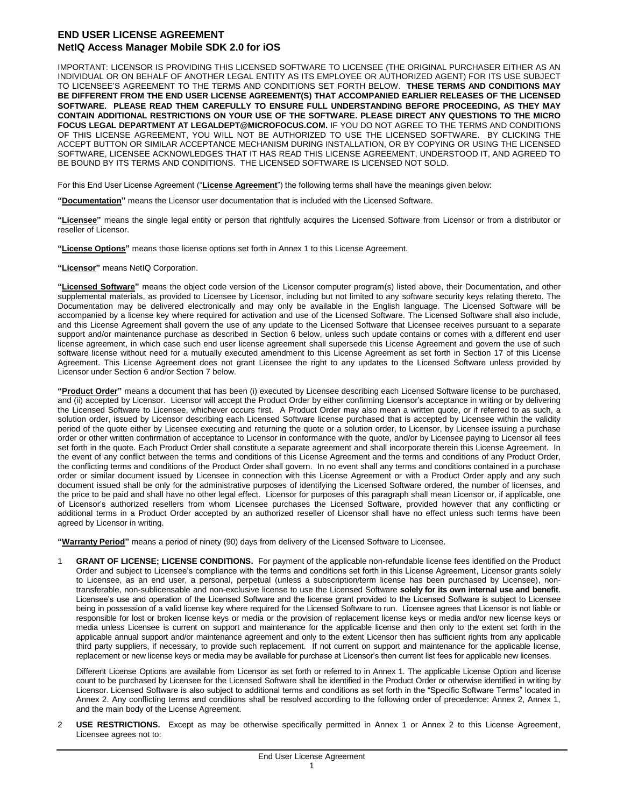## **END USER LICENSE AGREEMENT NetIQ Access Manager Mobile SDK 2.0 for iOS**

IMPORTANT: LICENSOR IS PROVIDING THIS LICENSED SOFTWARE TO LICENSEE (THE ORIGINAL PURCHASER EITHER AS AN INDIVIDUAL OR ON BEHALF OF ANOTHER LEGAL ENTITY AS ITS EMPLOYEE OR AUTHORIZED AGENT) FOR ITS USE SUBJECT TO LICENSEE'S AGREEMENT TO THE TERMS AND CONDITIONS SET FORTH BELOW. **THESE TERMS AND CONDITIONS MAY BE DIFFERENT FROM THE END USER LICENSE AGREEMENT(S) THAT ACCOMPANIED EARLIER RELEASES OF THE LICENSED SOFTWARE. PLEASE READ THEM CAREFULLY TO ENSURE FULL UNDERSTANDING BEFORE PROCEEDING, AS THEY MAY CONTAIN ADDITIONAL RESTRICTIONS ON YOUR USE OF THE SOFTWARE. PLEASE DIRECT ANY QUESTIONS TO THE MICRO FOCUS LEGAL DEPARTMENT AT LEGALDEPT@MICROFOCUS.COM.** IF YOU DO NOT AGREE TO THE TERMS AND CONDITIONS OF THIS LICENSE AGREEMENT, YOU WILL NOT BE AUTHORIZED TO USE THE LICENSED SOFTWARE. BY CLICKING THE ACCEPT BUTTON OR SIMILAR ACCEPTANCE MECHANISM DURING INSTALLATION, OR BY COPYING OR USING THE LICENSED SOFTWARE, LICENSEE ACKNOWLEDGES THAT IT HAS READ THIS LICENSE AGREEMENT, UNDERSTOOD IT, AND AGREED TO BE BOUND BY ITS TERMS AND CONDITIONS. THE LICENSED SOFTWARE IS LICENSED NOT SOLD.

For this End User License Agreement ("**License Agreement**") the following terms shall have the meanings given below:

**"Documentation"** means the Licensor user documentation that is included with the Licensed Software.

**"Licensee"** means the single legal entity or person that rightfully acquires the Licensed Software from Licensor or from a distributor or reseller of Licensor.

**"License Options"** means those license options set forth in Annex 1 to this License Agreement.

**"Licensor"** means NetIQ Corporation.

**"Licensed Software"** means the object code version of the Licensor computer program(s) listed above, their Documentation, and other supplemental materials, as provided to Licensee by Licensor, including but not limited to any software security keys relating thereto. The Documentation may be delivered electronically and may only be available in the English language. The Licensed Software will be accompanied by a license key where required for activation and use of the Licensed Software. The Licensed Software shall also include, and this License Agreement shall govern the use of any update to the Licensed Software that Licensee receives pursuant to a separate support and/or maintenance purchase as described in Section 6 below, unless such update contains or comes with a different end user license agreement, in which case such end user license agreement shall supersede this License Agreement and govern the use of such software license without need for a mutually executed amendment to this License Agreement as set forth in Section 17 of this License Agreement. This License Agreement does not grant Licensee the right to any updates to the Licensed Software unless provided by Licensor under Section 6 and/or Section 7 below.

**"Product Order"** means a document that has been (i) executed by Licensee describing each Licensed Software license to be purchased, and (ii) accepted by Licensor. Licensor will accept the Product Order by either confirming Licensor's acceptance in writing or by delivering the Licensed Software to Licensee, whichever occurs first. A Product Order may also mean a written quote, or if referred to as such, a solution order, issued by Licensor describing each Licensed Software license purchased that is accepted by Licensee within the validity period of the quote either by Licensee executing and returning the quote or a solution order, to Licensor, by Licensee issuing a purchase order or other written confirmation of acceptance to Licensor in conformance with the quote, and/or by Licensee paying to Licensor all fees set forth in the quote. Each Product Order shall constitute a separate agreement and shall incorporate therein this License Agreement. In the event of any conflict between the terms and conditions of this License Agreement and the terms and conditions of any Product Order, the conflicting terms and conditions of the Product Order shall govern. In no event shall any terms and conditions contained in a purchase order or similar document issued by Licensee in connection with this License Agreement or with a Product Order apply and any such document issued shall be only for the administrative purposes of identifying the Licensed Software ordered, the number of licenses, and the price to be paid and shall have no other legal effect. Licensor for purposes of this paragraph shall mean Licensor or, if applicable, one of Licensor's authorized resellers from whom Licensee purchases the Licensed Software, provided however that any conflicting or additional terms in a Product Order accepted by an authorized reseller of Licensor shall have no effect unless such terms have been agreed by Licensor in writing.

**"Warranty Period"** means a period of ninety (90) days from delivery of the Licensed Software to Licensee.

1 **GRANT OF LICENSE; LICENSE CONDITIONS.** For payment of the applicable non-refundable license fees identified on the Product Order and subject to Licensee's compliance with the terms and conditions set forth in this License Agreement, Licensor grants solely to Licensee, as an end user, a personal, perpetual (unless a subscription/term license has been purchased by Licensee), nontransferable, non-sublicensable and non-exclusive license to use the Licensed Software **solely for its own internal use and benefit**. Licensee's use and operation of the Licensed Software and the license grant provided to the Licensed Software is subject to Licensee being in possession of a valid license key where required for the Licensed Software to run. Licensee agrees that Licensor is not liable or responsible for lost or broken license keys or media or the provision of replacement license keys or media and/or new license keys or media unless Licensee is current on support and maintenance for the applicable license and then only to the extent set forth in the applicable annual support and/or maintenance agreement and only to the extent Licensor then has sufficient rights from any applicable third party suppliers, if necessary, to provide such replacement. If not current on support and maintenance for the applicable license, replacement or new license keys or media may be available for purchase at Licensor's then current list fees for applicable new licenses.

Different License Options are available from Licensor as set forth or referred to in Annex 1. The applicable License Option and license count to be purchased by Licensee for the Licensed Software shall be identified in the Product Order or otherwise identified in writing by Licensor. Licensed Software is also subject to additional terms and conditions as set forth in the "Specific Software Terms" located in Annex 2. Any conflicting terms and conditions shall be resolved according to the following order of precedence: Annex 2, Annex 1, and the main body of the License Agreement.

2 **USE RESTRICTIONS.** Except as may be otherwise specifically permitted in Annex 1 or Annex 2 to this License Agreement, Licensee agrees not to: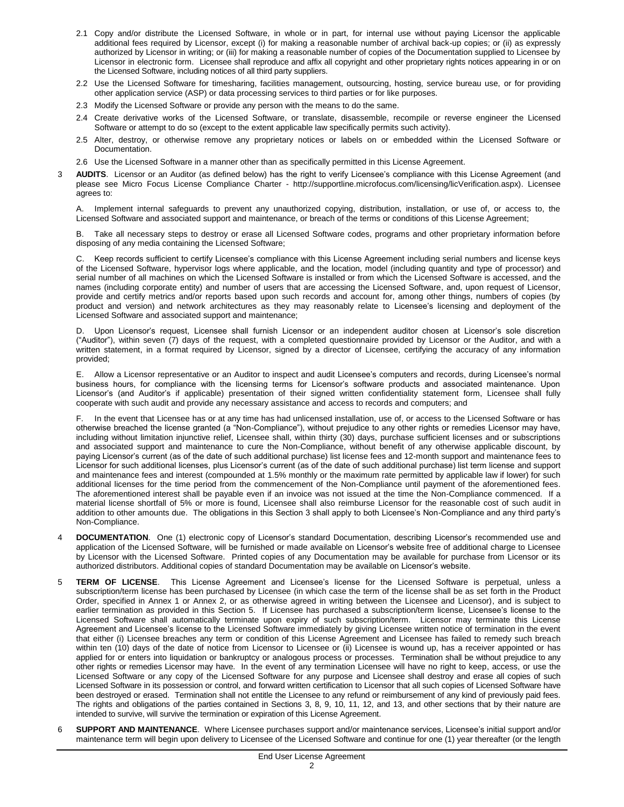- 2.1 Copy and/or distribute the Licensed Software, in whole or in part, for internal use without paying Licensor the applicable additional fees required by Licensor, except (i) for making a reasonable number of archival back-up copies; or (ii) as expressly authorized by Licensor in writing; or (iii) for making a reasonable number of copies of the Documentation supplied to Licensee by Licensor in electronic form. Licensee shall reproduce and affix all copyright and other proprietary rights notices appearing in or on the Licensed Software, including notices of all third party suppliers.
- 2.2 Use the Licensed Software for timesharing, facilities management, outsourcing, hosting, service bureau use, or for providing other application service (ASP) or data processing services to third parties or for like purposes.
- 2.3 Modify the Licensed Software or provide any person with the means to do the same.
- 2.4 Create derivative works of the Licensed Software, or translate, disassemble, recompile or reverse engineer the Licensed Software or attempt to do so (except to the extent applicable law specifically permits such activity).
- 2.5 Alter, destroy, or otherwise remove any proprietary notices or labels on or embedded within the Licensed Software or Documentation.
- 2.6 Use the Licensed Software in a manner other than as specifically permitted in this License Agreement.
- 3 **AUDITS**. Licensor or an Auditor (as defined below) has the right to verify Licensee's compliance with this License Agreement (and please see Micro Focus License Compliance Charter - http://supportline.microfocus.com/licensing/licVerification.aspx). Licensee agrees to:

A. Implement internal safeguards to prevent any unauthorized copying, distribution, installation, or use of, or access to, the Licensed Software and associated support and maintenance, or breach of the terms or conditions of this License Agreement;

Take all necessary steps to destroy or erase all Licensed Software codes, programs and other proprietary information before disposing of any media containing the Licensed Software;

C. Keep records sufficient to certify Licensee's compliance with this License Agreement including serial numbers and license keys of the Licensed Software, hypervisor logs where applicable, and the location, model (including quantity and type of processor) and serial number of all machines on which the Licensed Software is installed or from which the Licensed Software is accessed, and the names (including corporate entity) and number of users that are accessing the Licensed Software, and, upon request of Licensor, provide and certify metrics and/or reports based upon such records and account for, among other things, numbers of copies (by product and version) and network architectures as they may reasonably relate to Licensee's licensing and deployment of the Licensed Software and associated support and maintenance;

D. Upon Licensor's request, Licensee shall furnish Licensor or an independent auditor chosen at Licensor's sole discretion ("Auditor"), within seven (7) days of the request, with a completed questionnaire provided by Licensor or the Auditor, and with a written statement, in a format required by Licensor, signed by a director of Licensee, certifying the accuracy of any information provided;

E. Allow a Licensor representative or an Auditor to inspect and audit Licensee's computers and records, during Licensee's normal business hours, for compliance with the licensing terms for Licensor's software products and associated maintenance. Upon Licensor's (and Auditor's if applicable) presentation of their signed written confidentiality statement form, Licensee shall fully cooperate with such audit and provide any necessary assistance and access to records and computers; and

F. In the event that Licensee has or at any time has had unlicensed installation, use of, or access to the Licensed Software or has otherwise breached the license granted (a "Non-Compliance"), without prejudice to any other rights or remedies Licensor may have, including without limitation injunctive relief, Licensee shall, within thirty (30) days, purchase sufficient licenses and or subscriptions and associated support and maintenance to cure the Non-Compliance, without benefit of any otherwise applicable discount, by paying Licensor's current (as of the date of such additional purchase) list license fees and 12-month support and maintenance fees to Licensor for such additional licenses, plus Licensor's current (as of the date of such additional purchase) list term license and support and maintenance fees and interest (compounded at 1.5% monthly or the maximum rate permitted by applicable law if lower) for such additional licenses for the time period from the commencement of the Non-Compliance until payment of the aforementioned fees. The aforementioned interest shall be payable even if an invoice was not issued at the time the Non-Compliance commenced. If a material license shortfall of 5% or more is found, Licensee shall also reimburse Licensor for the reasonable cost of such audit in addition to other amounts due. The obligations in this Section 3 shall apply to both Licensee's Non-Compliance and any third party's Non-Compliance.

- **DOCUMENTATION.** One (1) electronic copy of Licensor's standard Documentation, describing Licensor's recommended use and application of the Licensed Software, will be furnished or made available on Licensor's website free of additional charge to Licensee by Licensor with the Licensed Software. Printed copies of any Documentation may be available for purchase from Licensor or its authorized distributors. Additional copies of standard Documentation may be available on Licensor's website.
- 5 **TERM OF LICENSE**. This License Agreement and Licensee's license for the Licensed Software is perpetual, unless a subscription/term license has been purchased by Licensee (in which case the term of the license shall be as set forth in the Product Order, specified in Annex 1 or Annex 2, or as otherwise agreed in writing between the Licensee and Licensor), and is subject to earlier termination as provided in this Section 5. If Licensee has purchased a subscription/term license, Licensee's license to the Licensed Software shall automatically terminate upon expiry of such subscription/term. Licensor may terminate this License Agreement and Licensee's license to the Licensed Software immediately by giving Licensee written notice of termination in the event that either (i) Licensee breaches any term or condition of this License Agreement and Licensee has failed to remedy such breach within ten (10) days of the date of notice from Licensor to Licensee or (ii) Licensee is wound up, has a receiver appointed or has applied for or enters into liquidation or bankruptcy or analogous process or processes. Termination shall be without prejudice to any other rights or remedies Licensor may have. In the event of any termination Licensee will have no right to keep, access, or use the Licensed Software or any copy of the Licensed Software for any purpose and Licensee shall destroy and erase all copies of such Licensed Software in its possession or control, and forward written certification to Licensor that all such copies of Licensed Software have been destroyed or erased. Termination shall not entitle the Licensee to any refund or reimbursement of any kind of previously paid fees. The rights and obligations of the parties contained in Sections 3, 8, 9, 10, 11, 12, and 13, and other sections that by their nature are intended to survive, will survive the termination or expiration of this License Agreement.
- 6 **SUPPORT AND MAINTENANCE**. Where Licensee purchases support and/or maintenance services, Licensee's initial support and/or maintenance term will begin upon delivery to Licensee of the Licensed Software and continue for one (1) year thereafter (or the length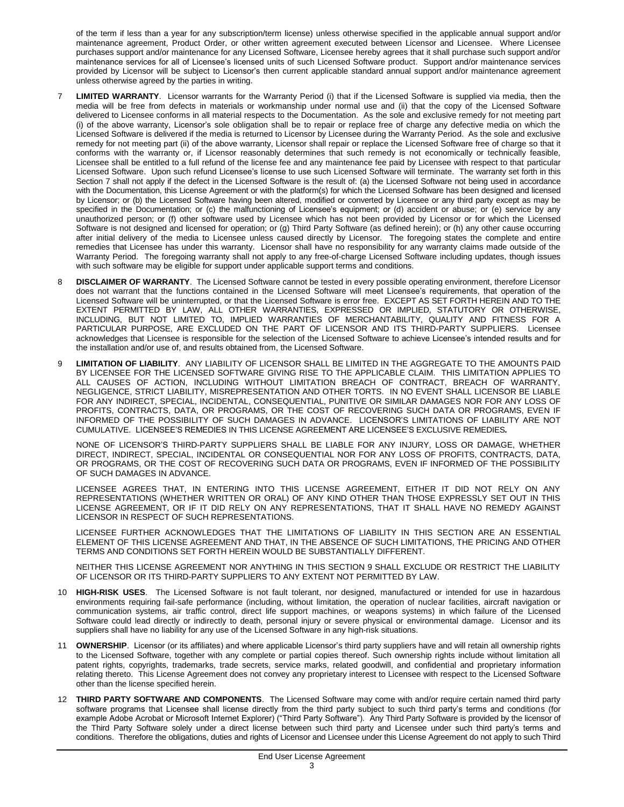of the term if less than a year for any subscription/term license) unless otherwise specified in the applicable annual support and/or maintenance agreement, Product Order, or other written agreement executed between Licensor and Licensee. Where Licensee purchases support and/or maintenance for any Licensed Software, Licensee hereby agrees that it shall purchase such support and/or maintenance services for all of Licensee's licensed units of such Licensed Software product. Support and/or maintenance services provided by Licensor will be subject to Licensor's then current applicable standard annual support and/or maintenance agreement unless otherwise agreed by the parties in writing.

- LIMITED WARRANTY. Licensor warrants for the Warranty Period (i) that if the Licensed Software is supplied via media, then the media will be free from defects in materials or workmanship under normal use and (ii) that the copy of the Licensed Software delivered to Licensee conforms in all material respects to the Documentation. As the sole and exclusive remedy for not meeting part (i) of the above warranty, Licensor's sole obligation shall be to repair or replace free of charge any defective media on which the Licensed Software is delivered if the media is returned to Licensor by Licensee during the Warranty Period. As the sole and exclusive remedy for not meeting part (ii) of the above warranty, Licensor shall repair or replace the Licensed Software free of charge so that it conforms with the warranty or, if Licensor reasonably determines that such remedy is not economically or technically feasible, Licensee shall be entitled to a full refund of the license fee and any maintenance fee paid by Licensee with respect to that particular Licensed Software. Upon such refund Licensee's license to use such Licensed Software will terminate. The warranty set forth in this Section 7 shall not apply if the defect in the Licensed Software is the result of: (a) the Licensed Software not being used in accordance with the Documentation, this License Agreement or with the platform(s) for which the Licensed Software has been designed and licensed by Licensor; or (b) the Licensed Software having been altered, modified or converted by Licensee or any third party except as may be specified in the Documentation; or (c) the malfunctioning of Licensee's equipment; or (d) accident or abuse; or (e) service by any unauthorized person; or (f) other software used by Licensee which has not been provided by Licensor or for which the Licensed Software is not designed and licensed for operation; or (g) Third Party Software (as defined herein); or (h) any other cause occurring after initial delivery of the media to Licensee unless caused directly by Licensor. The foregoing states the complete and entire remedies that Licensee has under this warranty. Licensor shall have no responsibility for any warranty claims made outside of the Warranty Period. The foregoing warranty shall not apply to any free-of-charge Licensed Software including updates, though issues with such software may be eligible for support under applicable support terms and conditions.
- 8 **DISCLAIMER OF WARRANTY**. The Licensed Software cannot be tested in every possible operating environment, therefore Licensor does not warrant that the functions contained in the Licensed Software will meet Licensee's requirements, that operation of the Licensed Software will be uninterrupted, or that the Licensed Software is error free. EXCEPT AS SET FORTH HEREIN AND TO THE EXTENT PERMITTED BY LAW, ALL OTHER WARRANTIES, EXPRESSED OR IMPLIED, STATUTORY OR OTHERWISE, INCLUDING, BUT NOT LIMITED TO, IMPLIED WARRANTIES OF MERCHANTABILITY, QUALITY AND FITNESS FOR A PARTICULAR PURPOSE, ARE EXCLUDED ON THE PART OF LICENSOR AND ITS THIRD-PARTY SUPPLIERS. Licensee acknowledges that Licensee is responsible for the selection of the Licensed Software to achieve Licensee's intended results and for the installation and/or use of, and results obtained from, the Licensed Software.
- 9 **LIMITATION OF LIABILITY**. ANY LIABILITY OF LICENSOR SHALL BE LIMITED IN THE AGGREGATE TO THE AMOUNTS PAID BY LICENSEE FOR THE LICENSED SOFTWARE GIVING RISE TO THE APPLICABLE CLAIM. THIS LIMITATION APPLIES TO ALL CAUSES OF ACTION, INCLUDING WITHOUT LIMITATION BREACH OF CONTRACT, BREACH OF WARRANTY, NEGLIGENCE, STRICT LIABILITY, MISREPRESENTATION AND OTHER TORTS. IN NO EVENT SHALL LICENSOR BE LIABLE FOR ANY INDIRECT, SPECIAL, INCIDENTAL, CONSEQUENTIAL, PUNITIVE OR SIMILAR DAMAGES NOR FOR ANY LOSS OF PROFITS, CONTRACTS, DATA, OR PROGRAMS, OR THE COST OF RECOVERING SUCH DATA OR PROGRAMS, EVEN IF INFORMED OF THE POSSIBILITY OF SUCH DAMAGES IN ADVANCE. LICENSOR'S LIMITATIONS OF LIABILITY ARE NOT CUMULATIVE. LICENSEE'S REMEDIES IN THIS LICENSE AGREEMENT ARE LICENSEE'S EXCLUSIVE REMEDIES*.*

NONE OF LICENSOR'S THIRD-PARTY SUPPLIERS SHALL BE LIABLE FOR ANY INJURY, LOSS OR DAMAGE, WHETHER DIRECT, INDIRECT, SPECIAL, INCIDENTAL OR CONSEQUENTIAL NOR FOR ANY LOSS OF PROFITS, CONTRACTS, DATA, OR PROGRAMS, OR THE COST OF RECOVERING SUCH DATA OR PROGRAMS, EVEN IF INFORMED OF THE POSSIBILITY OF SUCH DAMAGES IN ADVANCE.

LICENSEE AGREES THAT, IN ENTERING INTO THIS LICENSE AGREEMENT, EITHER IT DID NOT RELY ON ANY REPRESENTATIONS (WHETHER WRITTEN OR ORAL) OF ANY KIND OTHER THAN THOSE EXPRESSLY SET OUT IN THIS LICENSE AGREEMENT, OR IF IT DID RELY ON ANY REPRESENTATIONS, THAT IT SHALL HAVE NO REMEDY AGAINST LICENSOR IN RESPECT OF SUCH REPRESENTATIONS.

LICENSEE FURTHER ACKNOWLEDGES THAT THE LIMITATIONS OF LIABILITY IN THIS SECTION ARE AN ESSENTIAL ELEMENT OF THIS LICENSE AGREEMENT AND THAT, IN THE ABSENCE OF SUCH LIMITATIONS, THE PRICING AND OTHER TERMS AND CONDITIONS SET FORTH HEREIN WOULD BE SUBSTANTIALLY DIFFERENT.

NEITHER THIS LICENSE AGREEMENT NOR ANYTHING IN THIS SECTION 9 SHALL EXCLUDE OR RESTRICT THE LIABILITY OF LICENSOR OR ITS THIRD-PARTY SUPPLIERS TO ANY EXTENT NOT PERMITTED BY LAW.

- 10 **HIGH-RISK USES**. The Licensed Software is not fault tolerant, nor designed, manufactured or intended for use in hazardous environments requiring fail-safe performance (including, without limitation, the operation of nuclear facilities, aircraft navigation or communication systems, air traffic control, direct life support machines, or weapons systems) in which failure of the Licensed Software could lead directly or indirectly to death, personal injury or severe physical or environmental damage. Licensor and its suppliers shall have no liability for any use of the Licensed Software in any high-risk situations.
- 11 **OWNERSHIP**. Licensor (or its affiliates) and where applicable Licensor's third party suppliers have and will retain all ownership rights to the Licensed Software, together with any complete or partial copies thereof. Such ownership rights include without limitation all patent rights, copyrights, trademarks, trade secrets, service marks, related goodwill, and confidential and proprietary information relating thereto. This License Agreement does not convey any proprietary interest to Licensee with respect to the Licensed Software other than the license specified herein.
- 12 **THIRD PARTY SOFTWARE AND COMPONENTS**. The Licensed Software may come with and/or require certain named third party software programs that Licensee shall license directly from the third party subject to such third party's terms and conditions (for example Adobe Acrobat or Microsoft Internet Explorer) ("Third Party Software"). Any Third Party Software is provided by the licensor of the Third Party Software solely under a direct license between such third party and Licensee under such third party's terms and conditions. Therefore the obligations, duties and rights of Licensor and Licensee under this License Agreement do not apply to such Third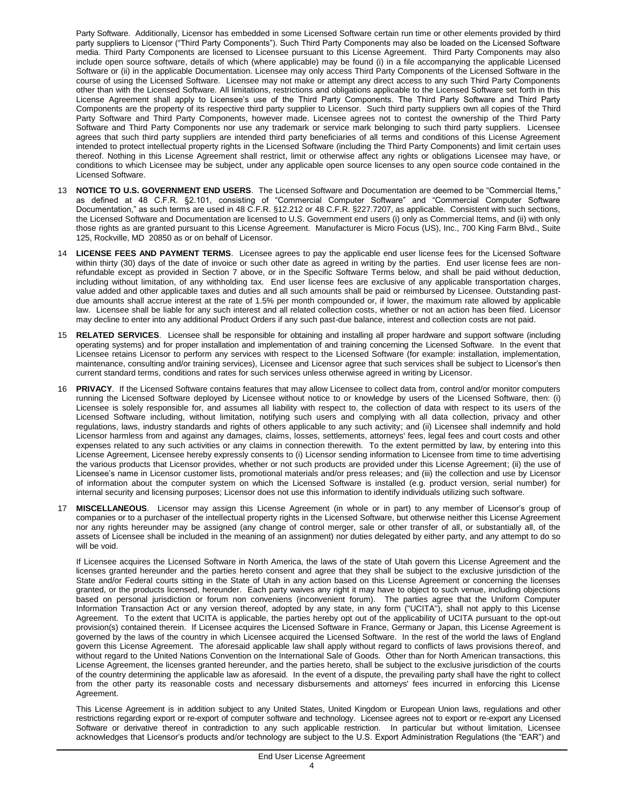Party Software. Additionally, Licensor has embedded in some Licensed Software certain run time or other elements provided by third party suppliers to Licensor ("Third Party Components"). Such Third Party Components may also be loaded on the Licensed Software media. Third Party Components are licensed to Licensee pursuant to this License Agreement. Third Party Components may also include open source software, details of which (where applicable) may be found (i) in a file accompanying the applicable Licensed Software or (ii) in the applicable Documentation. Licensee may only access Third Party Components of the Licensed Software in the course of using the Licensed Software. Licensee may not make or attempt any direct access to any such Third Party Components other than with the Licensed Software. All limitations, restrictions and obligations applicable to the Licensed Software set forth in this License Agreement shall apply to Licensee's use of the Third Party Components. The Third Party Software and Third Party Components are the property of its respective third party supplier to Licensor. Such third party suppliers own all copies of the Third Party Software and Third Party Components, however made. Licensee agrees not to contest the ownership of the Third Party Software and Third Party Components nor use any trademark or service mark belonging to such third party suppliers. Licensee agrees that such third party suppliers are intended third party beneficiaries of all terms and conditions of this License Agreement intended to protect intellectual property rights in the Licensed Software (including the Third Party Components) and limit certain uses thereof. Nothing in this License Agreement shall restrict, limit or otherwise affect any rights or obligations Licensee may have, or conditions to which Licensee may be subject, under any applicable open source licenses to any open source code contained in the Licensed Software.

- 13 **NOTICE TO U.S. GOVERNMENT END USERS**. The Licensed Software and Documentation are deemed to be "Commercial Items," as defined at 48 C.F.R. §2.101, consisting of "Commercial Computer Software" and "Commercial Computer Software Documentation," as such terms are used in 48 C.F.R. §12.212 or 48 C.F.R. §227.7207, as applicable. Consistent with such sections, the Licensed Software and Documentation are licensed to U.S. Government end users (i) only as Commercial Items, and (ii) with only those rights as are granted pursuant to this License Agreement. Manufacturer is Micro Focus (US), Inc., 700 King Farm Blvd., Suite 125, Rockville, MD 20850 as or on behalf of Licensor.
- 14 **LICENSE FEES AND PAYMENT TERMS**. Licensee agrees to pay the applicable end user license fees for the Licensed Software within thirty (30) days of the date of invoice or such other date as agreed in writing by the parties. End user license fees are nonrefundable except as provided in Section 7 above, or in the Specific Software Terms below, and shall be paid without deduction, including without limitation, of any withholding tax. End user license fees are exclusive of any applicable transportation charges, value added and other applicable taxes and duties and all such amounts shall be paid or reimbursed by Licensee. Outstanding pastdue amounts shall accrue interest at the rate of 1.5% per month compounded or, if lower, the maximum rate allowed by applicable law. Licensee shall be liable for any such interest and all related collection costs, whether or not an action has been filed. Licensor may decline to enter into any additional Product Orders if any such past-due balance, interest and collection costs are not paid.
- 15 **RELATED SERVICES**. Licensee shall be responsible for obtaining and installing all proper hardware and support software (including operating systems) and for proper installation and implementation of and training concerning the Licensed Software. In the event that Licensee retains Licensor to perform any services with respect to the Licensed Software (for example: installation, implementation, maintenance, consulting and/or training services), Licensee and Licensor agree that such services shall be subject to Licensor's then current standard terms, conditions and rates for such services unless otherwise agreed in writing by Licensor.
- 16 **PRIVACY**. If the Licensed Software contains features that may allow Licensee to collect data from, control and/or monitor computers running the Licensed Software deployed by Licensee without notice to or knowledge by users of the Licensed Software, then: (i) Licensee is solely responsible for, and assumes all liability with respect to, the collection of data with respect to its users of the Licensed Software including, without limitation, notifying such users and complying with all data collection, privacy and other regulations, laws, industry standards and rights of others applicable to any such activity; and (ii) Licensee shall indemnify and hold Licensor harmless from and against any damages, claims, losses, settlements, attorneys' fees, legal fees and court costs and other expenses related to any such activities or any claims in connection therewith. To the extent permitted by law, by entering into this License Agreement, Licensee hereby expressly consents to (i) Licensor sending information to Licensee from time to time advertising the various products that Licensor provides, whether or not such products are provided under this License Agreement; (ii) the use of Licensee's name in Licensor customer lists, promotional materials and/or press releases; and (iii) the collection and use by Licensor of information about the computer system on which the Licensed Software is installed (e.g. product version, serial number) for internal security and licensing purposes; Licensor does not use this information to identify individuals utilizing such software.
- 17 **MISCELLANEOUS**. Licensor may assign this License Agreement (in whole or in part) to any member of Licensor's group of companies or to a purchaser of the intellectual property rights in the Licensed Software, but otherwise neither this License Agreement nor any rights hereunder may be assigned (any change of control merger, sale or other transfer of all, or substantially all, of the assets of Licensee shall be included in the meaning of an assignment) nor duties delegated by either party, and any attempt to do so will be void.

If Licensee acquires the Licensed Software in North America, the laws of the state of Utah govern this License Agreement and the licenses granted hereunder and the parties hereto consent and agree that they shall be subject to the exclusive jurisdiction of the State and/or Federal courts sitting in the State of Utah in any action based on this License Agreement or concerning the licenses granted, or the products licensed, hereunder. Each party waives any right it may have to object to such venue, including objections based on personal jurisdiction or forum non conveniens (inconvenient forum). The parties agree that the Uniform Computer Information Transaction Act or any version thereof, adopted by any state, in any form ("UCITA"), shall not apply to this License Agreement. To the extent that UCITA is applicable, the parties hereby opt out of the applicability of UCITA pursuant to the opt-out provision(s) contained therein. If Licensee acquires the Licensed Software in France, Germany or Japan, this License Agreement is governed by the laws of the country in which Licensee acquired the Licensed Software. In the rest of the world the laws of England govern this License Agreement. The aforesaid applicable law shall apply without regard to conflicts of laws provisions thereof, and without regard to the United Nations Convention on the International Sale of Goods. Other than for North American transactions, this License Agreement, the licenses granted hereunder, and the parties hereto, shall be subject to the exclusive jurisdiction of the courts of the country determining the applicable law as aforesaid. In the event of a dispute, the prevailing party shall have the right to collect from the other party its reasonable costs and necessary disbursements and attorneys' fees incurred in enforcing this License Agreement.

This License Agreement is in addition subject to any United States, United Kingdom or European Union laws, regulations and other restrictions regarding export or re-export of computer software and technology. Licensee agrees not to export or re-export any Licensed Software or derivative thereof in contradiction to any such applicable restriction. In particular but without limitation, Licensee acknowledges that Licensor's products and/or technology are subject to the U.S. Export Administration Regulations (the "EAR") and